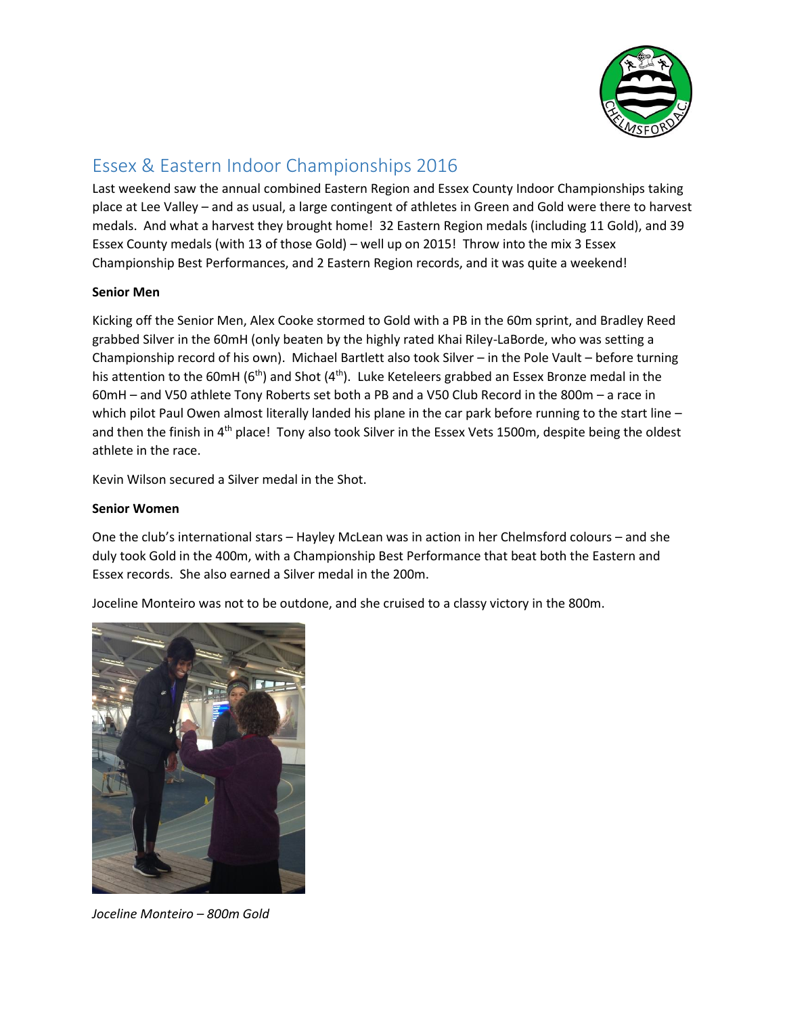

# Essex & Eastern Indoor Championships 2016

Last weekend saw the annual combined Eastern Region and Essex County Indoor Championships taking place at Lee Valley – and as usual, a large contingent of athletes in Green and Gold were there to harvest medals. And what a harvest they brought home! 32 Eastern Region medals (including 11 Gold), and 39 Essex County medals (with 13 of those Gold) – well up on 2015! Throw into the mix 3 Essex Championship Best Performances, and 2 Eastern Region records, and it was quite a weekend!

#### **Senior Men**

Kicking off the Senior Men, Alex Cooke stormed to Gold with a PB in the 60m sprint, and Bradley Reed grabbed Silver in the 60mH (only beaten by the highly rated Khai Riley-LaBorde, who was setting a Championship record of his own). Michael Bartlett also took Silver – in the Pole Vault – before turning his attention to the 60mH (6<sup>th</sup>) and Shot (4<sup>th</sup>). Luke Keteleers grabbed an Essex Bronze medal in the 60mH – and V50 athlete Tony Roberts set both a PB and a V50 Club Record in the 800m – a race in which pilot Paul Owen almost literally landed his plane in the car park before running to the start line – and then the finish in 4<sup>th</sup> place! Tony also took Silver in the Essex Vets 1500m, despite being the oldest athlete in the race.

Kevin Wilson secured a Silver medal in the Shot.

#### **Senior Women**

One the club's international stars – Hayley McLean was in action in her Chelmsford colours – and she duly took Gold in the 400m, with a Championship Best Performance that beat both the Eastern and Essex records. She also earned a Silver medal in the 200m.

Joceline Monteiro was not to be outdone, and she cruised to a classy victory in the 800m.



*Joceline Monteiro – 800m Gold*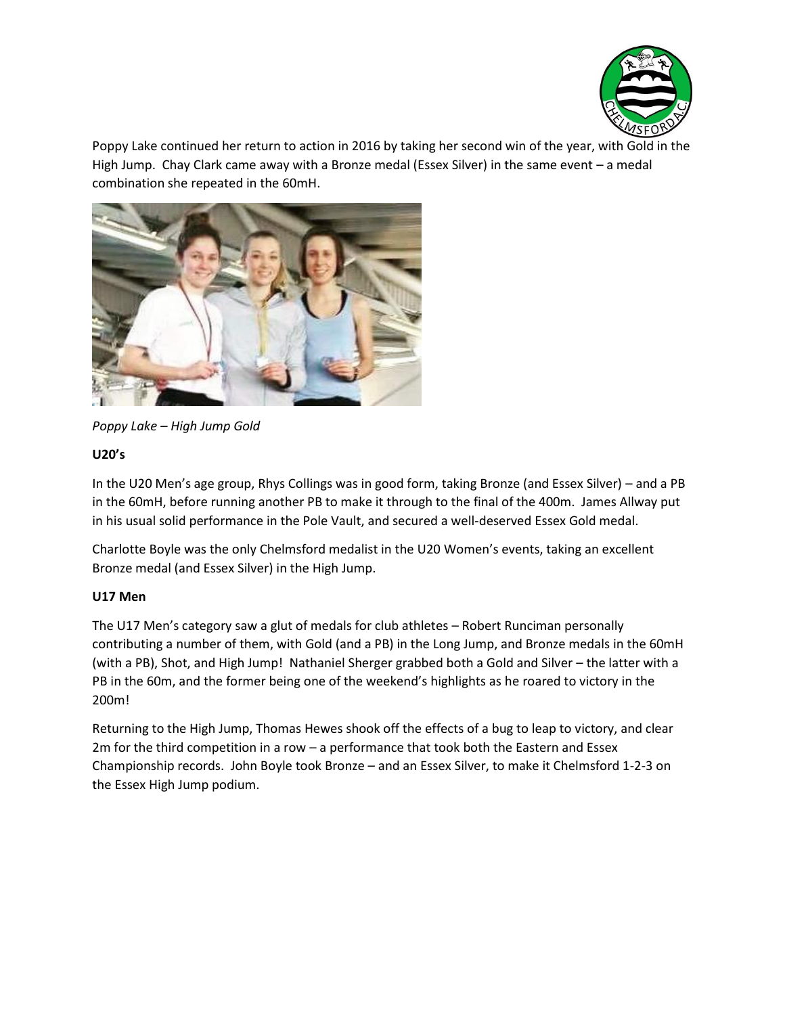

Poppy Lake continued her return to action in 2016 by taking her second win of the year, with Gold in the High Jump. Chay Clark came away with a Bronze medal (Essex Silver) in the same event – a medal combination she repeated in the 60mH.



*Poppy Lake – High Jump Gold*

## **U20's**

In the U20 Men's age group, Rhys Collings was in good form, taking Bronze (and Essex Silver) – and a PB in the 60mH, before running another PB to make it through to the final of the 400m. James Allway put in his usual solid performance in the Pole Vault, and secured a well-deserved Essex Gold medal.

Charlotte Boyle was the only Chelmsford medalist in the U20 Women's events, taking an excellent Bronze medal (and Essex Silver) in the High Jump.

## **U17 Men**

The U17 Men's category saw a glut of medals for club athletes – Robert Runciman personally contributing a number of them, with Gold (and a PB) in the Long Jump, and Bronze medals in the 60mH (with a PB), Shot, and High Jump! Nathaniel Sherger grabbed both a Gold and Silver – the latter with a PB in the 60m, and the former being one of the weekend's highlights as he roared to victory in the 200m!

Returning to the High Jump, Thomas Hewes shook off the effects of a bug to leap to victory, and clear 2m for the third competition in a row – a performance that took both the Eastern and Essex Championship records. John Boyle took Bronze – and an Essex Silver, to make it Chelmsford 1-2-3 on the Essex High Jump podium.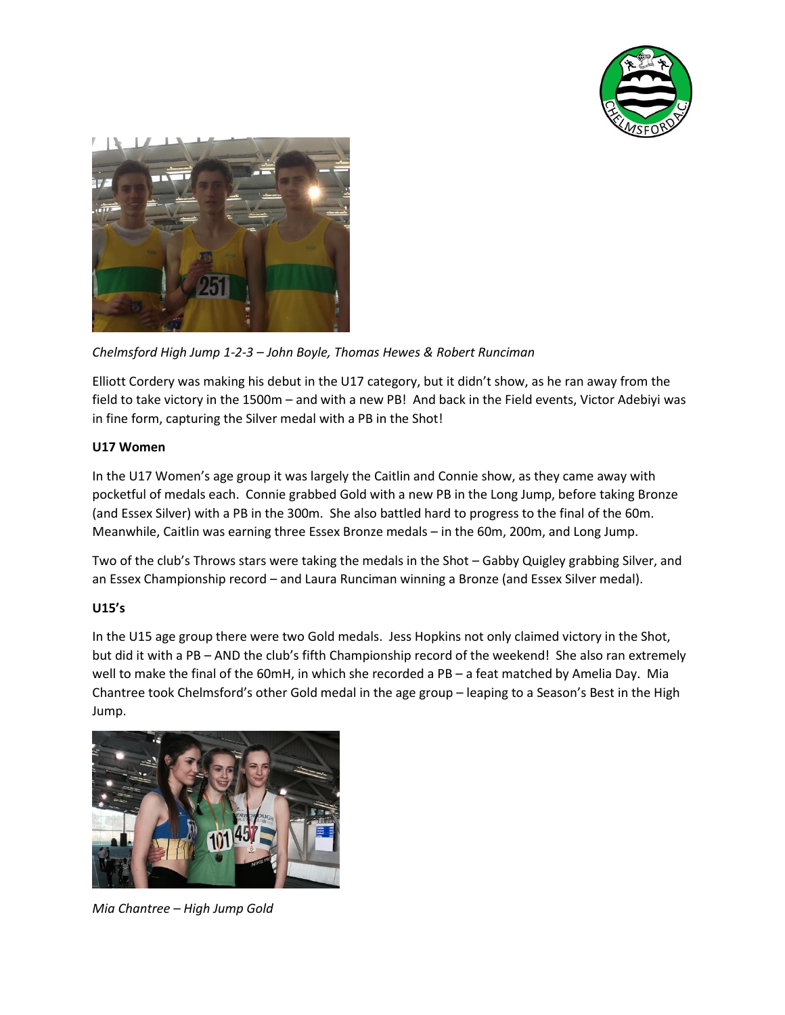



*Chelmsford High Jump 1-2-3 – John Boyle, Thomas Hewes & Robert Runciman*

Elliott Cordery was making his debut in the U17 category, but it didn't show, as he ran away from the field to take victory in the 1500m – and with a new PB! And back in the Field events, Victor Adebiyi was in fine form, capturing the Silver medal with a PB in the Shot!

## **U17 Women**

In the U17 Women's age group it was largely the Caitlin and Connie show, as they came away with pocketful of medals each. Connie grabbed Gold with a new PB in the Long Jump, before taking Bronze (and Essex Silver) with a PB in the 300m. She also battled hard to progress to the final of the 60m. Meanwhile, Caitlin was earning three Essex Bronze medals – in the 60m, 200m, and Long Jump.

Two of the club's Throws stars were taking the medals in the Shot – Gabby Quigley grabbing Silver, and an Essex Championship record – and Laura Runciman winning a Bronze (and Essex Silver medal).

## **U15's**

In the U15 age group there were two Gold medals. Jess Hopkins not only claimed victory in the Shot, but did it with a PB – AND the club's fifth Championship record of the weekend! She also ran extremely well to make the final of the 60mH, in which she recorded a PB – a feat matched by Amelia Day. Mia Chantree took Chelmsford's other Gold medal in the age group – leaping to a Season's Best in the High Jump.



*Mia Chantree – High Jump Gold*